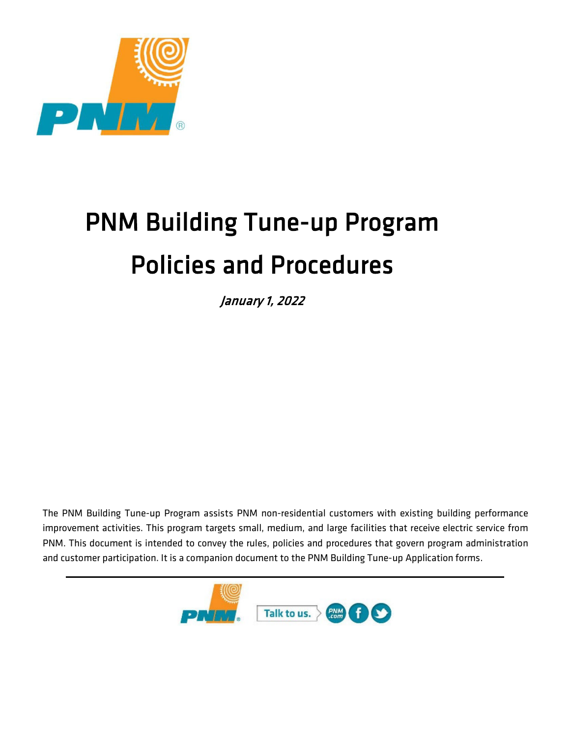

# PNM Building Tune-up Program Policies and Procedures

January 1, 2022

The PNM Building Tune-up Program assists PNM non-residential customers with existing building performance improvement activities. This program targets small, medium, and large facilities that receive electric service from PNM. This document is intended to convey the rules, policies and procedures that govern program administration and customer participation. It is a companion document to the PNM Building Tune-up Application forms.

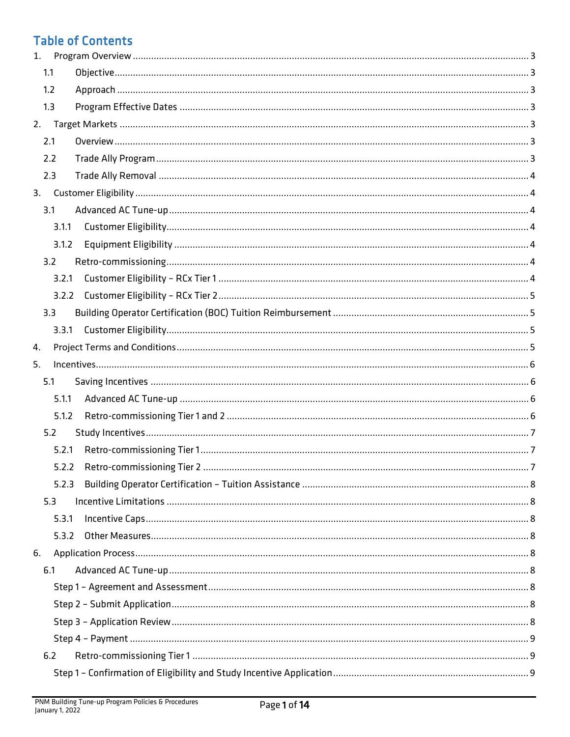# **Table of Contents**

| 1. |       |  |
|----|-------|--|
|    | 1.1   |  |
|    | 1.2   |  |
|    | 1.3   |  |
| 2. |       |  |
|    | 2.1   |  |
|    | 2.2   |  |
|    | 2.3   |  |
|    |       |  |
|    | 3.1   |  |
|    | 3.1.1 |  |
|    | 3.1.2 |  |
|    | 3.2   |  |
|    | 3.2.1 |  |
|    |       |  |
|    | 3.3   |  |
|    | 3.3.1 |  |
| 4. |       |  |
| 5. |       |  |
|    | 5.1   |  |
|    | 5.1.1 |  |
|    | 5.1.2 |  |
|    | 5.2   |  |
|    | 5.2.1 |  |
|    |       |  |
|    | 5.2.3 |  |
|    | 5.3   |  |
|    | 5.3.1 |  |
|    | 5.3.2 |  |
| 6. |       |  |
|    | 6.1   |  |
|    |       |  |
|    |       |  |
|    |       |  |
|    |       |  |
|    | 6.2   |  |
|    |       |  |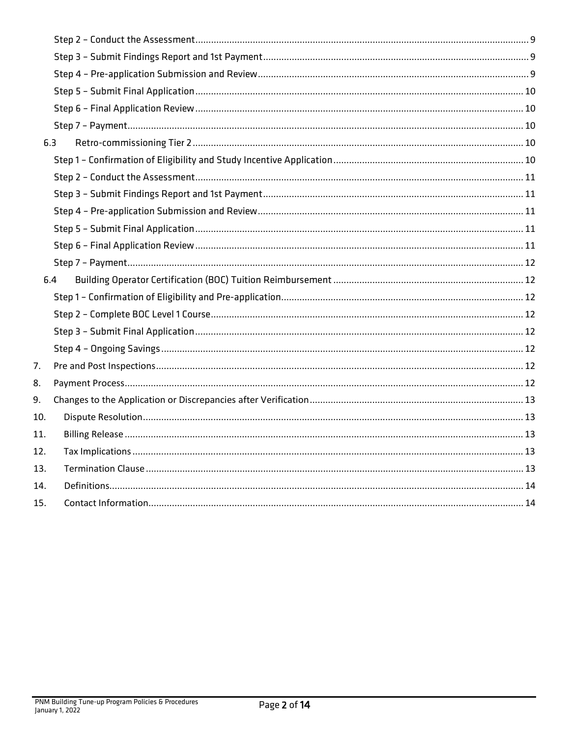|     | 6.3 |  |  |
|-----|-----|--|--|
|     |     |  |  |
|     |     |  |  |
|     |     |  |  |
|     |     |  |  |
|     |     |  |  |
|     |     |  |  |
|     |     |  |  |
|     | 6.4 |  |  |
|     |     |  |  |
|     |     |  |  |
|     |     |  |  |
|     |     |  |  |
| 7.  |     |  |  |
| 8.  |     |  |  |
| 9.  |     |  |  |
|     |     |  |  |
| 10. |     |  |  |
| 11. |     |  |  |
| 12. |     |  |  |
| 13. |     |  |  |
| 14. |     |  |  |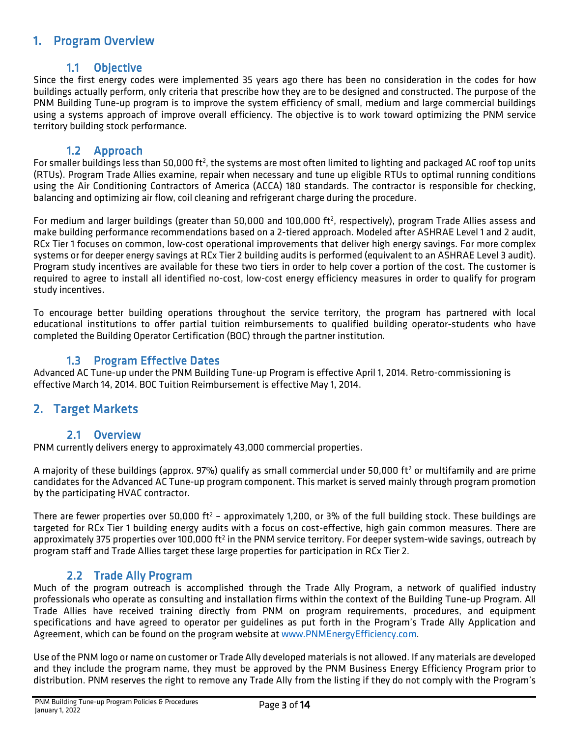# <span id="page-3-0"></span>1. Program Overview

<span id="page-3-1"></span>1.1 Objective<br>Since the first energy codes were implemented 35 years ago there has been no consideration in the codes for how buildings actually perform, only criteria that prescribe how they are to be designed and constructed. The purpose of the PNM Building Tune-up program is to improve the system efficiency of small, medium and large commercial buildings using a systems approach of improve overall efficiency. The objective is to work toward optimizing the PNM service territory building stock performance.

<span id="page-3-2"></span>1.2 Approach<br>For smaller buildings less than 50,000 ft<sup>2</sup>, the systems are most often limited to lighting and packaged AC roof top units (RTUs). Program Trade Allies examine, repair when necessary and tune up eligible RTUs to optimal running conditions using the Air Conditioning Contractors of America (ACCA) 180 standards. The contractor is responsible for checking, balancing and optimizing air flow, coil cleaning and refrigerant charge during the procedure.

For medium and larger buildings (greater than 50,000 and 100,000 ft<sup>2</sup>, respectively), program Trade Allies assess and make building performance recommendations based on a 2-tiered approach. Modeled after ASHRAE Level 1 and 2 audit, RCx Tier 1 focuses on common, low-cost operational improvements that deliver high energy savings. For more complex systems or for deeper energy savings at RCx Tier 2 building audits is performed (equivalent to an ASHRAE Level 3 audit). Program study incentives are available for these two tiers in order to help cover a portion of the cost. The customer is required to agree to install all identified no-cost, low-cost energy efficiency measures in order to qualify for program study incentives.

To encourage better building operations throughout the service territory, the program has partnered with local educational institutions to offer partial tuition reimbursements to qualified building operator-students who have completed the Building Operator Certification (BOC) through the partner institution.

<span id="page-3-3"></span>1.3 Program Effective Dates<br>Advanced AC Tune-up under the PNM Building Tune-up Program is effective April 1, 2014. Retro-commissioning is effective March 14, 2014. BOC Tuition Reimbursement is effective May 1, 2014.

# <span id="page-3-4"></span>2. Target Markets

<span id="page-3-5"></span>2.1 Overview 2.1 Overview PNM currently delivers energy to approximately 43,000 commercial properties.

A majority of these buildings (approx. 97%) qualify as small commercial under 50,000 ft<sup>2</sup> or multifamily and are prime candidates for the Advanced AC Tune-up program component. This market is served mainly through program promotion by the participating HVAC contractor.

There are fewer properties over 50,000 ft<sup>2</sup> - approximately 1,200, or 3% of the full building stock. These buildings are targeted for RCx Tier 1 building energy audits with a focus on cost-effective, high gain common measures. There are approximately 375 properties over 100,000 ft<sup>2</sup> in the PNM service territory. For deeper system-wide savings, outreach by program staff and Trade Allies target these large properties for participation in RCx Tier 2.

<span id="page-3-6"></span>2.2 Trade Ally Program<br>Much of the program outreach is accomplished through the Trade Ally Program, a network of qualified industry professionals who operate as consulting and installation firms within the context of the Building Tune-up Program. All Trade Allies have received training directly from PNM on program requirements, procedures, and equipment specifications and have agreed to operator per guidelines as put forth in the Program's Trade Ally Application and Agreement, which can be found on the program website at [www.PNMEnergyEfficiency.com.](http://www.pnmenergyefficiency.com/)

Use of the PNM logo or name on customer or Trade Ally developed materials is not allowed. If any materials are developed and they include the program name, they must be approved by the PNM Business Energy Efficiency Program prior to distribution. PNM reserves the right to remove any Trade Ally from the listing if they do not comply with the Program's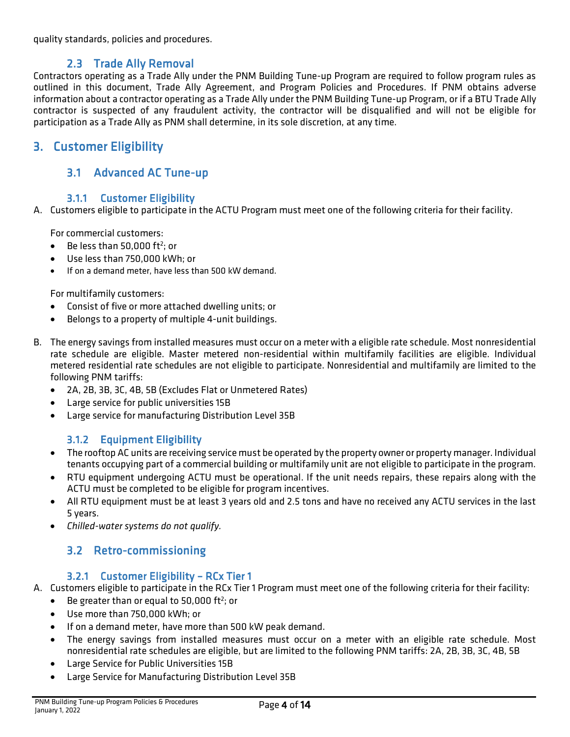quality standards, policies and procedures.

<span id="page-4-0"></span>2.3 Trade Ally Removal<br>Contractors operating as a Trade Ally under the PNM Building Tune-up Program are required to follow program rules as outlined in this document, Trade Ally Agreement, and Program Policies and Procedures. If PNM obtains adverse information about a contractor operating as a Trade Ally under the PNM Building Tune-up Program, or if a BTU Trade Ally contractor is suspected of any fraudulent activity, the contractor will be disqualified and will not be eligible for participation as a Trade Ally as PNM shall determine, in its sole discretion, at any time.

# <span id="page-4-2"></span><span id="page-4-1"></span>3. Customer Eligibility

# 3.1 Advanced AC Tune-up

### 3.1.1 Customer Eligibility

<span id="page-4-3"></span>A. Customers eligible to participate in the ACTU Program must meet one of the following criteria for their facility.

For commercial customers:

- $\bullet$  Be less than 50,000 ft<sup>2</sup>; or
- Use less than 750,000 kWh; or
- If on a demand meter, have less than 500 kW demand.

For multifamily customers:

- Consist of five or more attached dwelling units; or
- Belongs to a property of multiple 4-unit buildings.
- B. The energy savings from installed measures must occur on a meter with a eligible rate schedule. Most nonresidential rate schedule are eligible. Master metered non-residential within multifamily facilities are eligible. Individual metered residential rate schedules are not eligible to participate. Nonresidential and multifamily are limited to the following PNM tariffs:
	- 2A, 2B, 3B, 3C, 4B, 5B (Excludes Flat or Unmetered Rates)
	- Large service for public universities 15B
	- Large service for manufacturing Distribution Level 35B

# 3.1.2 Equipment Eligibility

- <span id="page-4-4"></span>• The rooftop AC units are receiving service must be operated by the property owner or property manager. Individual tenants occupying part of a commercial building or multifamily unit are not eligible to participate in the program.
- RTU equipment undergoing ACTU must be operational. If the unit needs repairs, these repairs along with the ACTU must be completed to be eligible for program incentives.
- All RTU equipment must be at least 3 years old and 2.5 tons and have no received any ACTU services in the last 5 years.
- <span id="page-4-5"></span>• *Chilled-water systems do not qualify.*

# 3.2 Retro-commissioning

### 3.2.1 Customer Eligibility – RCx Tier 1

- <span id="page-4-6"></span>A. Customers eligible to participate in the RCx Tier 1 Program must meet one of the following criteria for their facility:
	- $\bullet$  Be greater than or equal to 50,000 ft<sup>2</sup>; or
	- Use more than 750,000 kWh; or
	- If on a demand meter, have more than 500 kW peak demand.
	- The energy savings from installed measures must occur on a meter with an eligible rate schedule. Most nonresidential rate schedules are eligible, but are limited to the following PNM tariffs: 2A, 2B, 3B, 3C, 4B, 5B
	- Large Service for Public Universities 15B
	- Large Service for Manufacturing Distribution Level 35B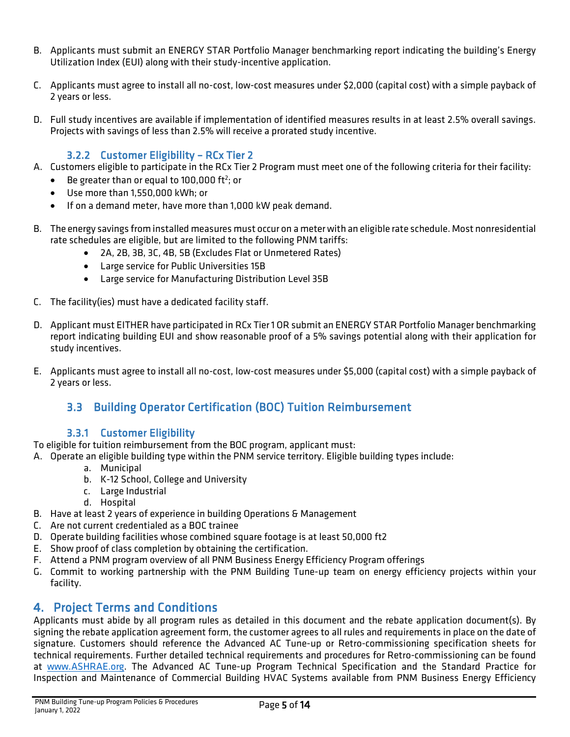- B. Applicants must submit an ENERGY STAR Portfolio Manager benchmarking report indicating the building's Energy Utilization Index (EUI) along with their study-incentive application.
- C. Applicants must agree to install all no-cost, low-cost measures under \$2,000 (capital cost) with a simple payback of 2 years or less.
- D. Full study incentives are available if implementation of identified measures results in at least 2.5% overall savings. Projects with savings of less than 2.5% will receive a prorated study incentive.

### 3.2.2 Customer Eligibility – RCx Tier 2

- <span id="page-5-0"></span>A. Customers eligible to participate in the RCx Tier 2 Program must meet one of the following criteria for their facility:
	- $\bullet$  Be greater than or equal to 100,000 ft<sup>2</sup>; or
	- Use more than 1,550,000 kWh; or
	- If on a demand meter, have more than 1,000 kW peak demand.
- B. The energy savings from installed measures must occur on a meter with an eligible rate schedule. Most nonresidential rate schedules are eligible, but are limited to the following PNM tariffs:
	- 2A, 2B, 3B, 3C, 4B, 5B (Excludes Flat or Unmetered Rates)
	- Large service for Public Universities 15B
	- Large service for Manufacturing Distribution Level 35B
- C. The facility(ies) must have a dedicated facility staff.
- D. Applicant must EITHER have participated in RCx Tier 1 OR submit an ENERGY STAR Portfolio Manager benchmarking report indicating building EUI and show reasonable proof of a 5% savings potential along with their application for study incentives.
- <span id="page-5-1"></span>E. Applicants must agree to install all no-cost, low-cost measures under \$5,000 (capital cost) with a simple payback of 2 years or less.

# 3.3 Building Operator Certification (BOC) Tuition Reimbursement

### 3.3.1 Customer Eligibility

<span id="page-5-2"></span>To eligible for tuition reimbursement from the BOC program, applicant must:

- A. Operate an eligible building type within the PNM service territory. Eligible building types include:
	- a. Municipal
	- b. K-12 School, College and University
	- c. Large Industrial
		- d. Hospital
- B. Have at least 2 years of experience in building Operations & Management
- C. Are not current credentialed as a BOC trainee
- D. Operate building facilities whose combined square footage is at least 50,000 ft2
- E. Show proof of class completion by obtaining the certification.
- F. Attend a PNM program overview of all PNM Business Energy Efficiency Program offerings
- G. Commit to working partnership with the PNM Building Tune-up team on energy efficiency projects within your facility.

<span id="page-5-3"></span>4. Project Terms and Conditions<br>Applicants must abide by all program rules as detailed in this document and the rebate application document(s). By signing the rebate application agreement form, the customer agrees to all rules and requirements in place on the date of signature. Customers should reference the Advanced AC Tune-up or Retro-commissioning specification sheets for technical requirements. Further detailed technical requirements and procedures for Retro-commissioning can be found at [www.ASHRAE.org.](http://www.ashrae.org/) The Advanced AC Tune-up Program Technical Specification and the Standard Practice for Inspection and Maintenance of Commercial Building HVAC Systems available from PNM Business Energy Efficiency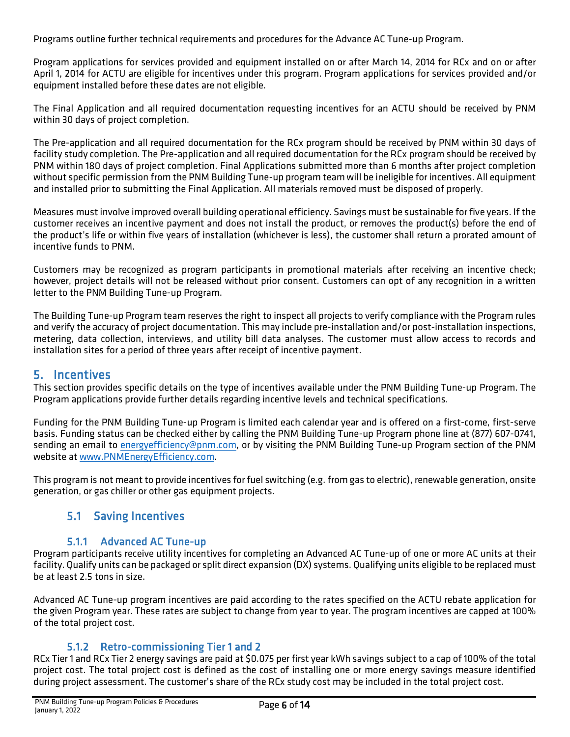Programs outline further technical requirements and procedures for the Advance AC Tune-up Program.

Program applications for services provided and equipment installed on or after March 14, 2014 for RCx and on or after April 1, 2014 for ACTU are eligible for incentives under this program. Program applications for services provided and/or equipment installed before these dates are not eligible.

The Final Application and all required documentation requesting incentives for an ACTU should be received by PNM within 30 days of project completion.

The Pre-application and all required documentation for the RCx program should be received by PNM within 30 days of facility study completion. The Pre-application and all required documentation for the RCx program should be received by PNM within 180 days of project completion. Final Applications submitted more than 6 months after project completion without specific permission from the PNM Building Tune-up program team will be ineligible for incentives. All equipment and installed prior to submitting the Final Application. All materials removed must be disposed of properly.

Measures must involve improved overall building operational efficiency. Savings must be sustainable for five years. If the customer receives an incentive payment and does not install the product, or removes the product(s) before the end of the product's life or within five years of installation (whichever is less), the customer shall return a prorated amount of incentive funds to PNM.

Customers may be recognized as program participants in promotional materials after receiving an incentive check; however, project details will not be released without prior consent. Customers can opt of any recognition in a written letter to the PNM Building Tune-up Program.

The Building Tune-up Program team reserves the right to inspect all projects to verify compliance with the Program rules and verify the accuracy of project documentation. This may include pre-installation and/or post-installation inspections, metering, data collection, interviews, and utility bill data analyses. The customer must allow access to records and installation sites for a period of three years after receipt of incentive payment.

<span id="page-6-0"></span>5. Incentives<br>This section provides specific details on the type of incentives available under the PNM Building Tune-up Program. The Program applications provide further details regarding incentive levels and technical specifications.

Funding for the PNM Building Tune-up Program is limited each calendar year and is offered on a first-come, first-serve basis. Funding status can be checked either by calling the PNM Building Tune-up Program phone line at (877) 607-0741, sending an email to [energyefficiency@pnm.com,](mailto:energyefficiency@pnm.com) or by visiting the PNM Building Tune-up Program section of the PNM website a[t www.PNMEnergyEfficiency.com.](http://www.pnmenergyefficiency.com/)

<span id="page-6-1"></span>This program is not meant to provide incentives for fuel switching (e.g. from gas to electric), renewable generation, onsite generation, or gas chiller or other gas equipment projects.

# 5.1 Saving Incentives

### 5.1.1 Advanced AC Tune-up

<span id="page-6-2"></span>Program participants receive utility incentives for completing an Advanced AC Tune-up of one or more AC units at their facility. Qualify units can be packaged or split direct expansion (DX) systems. Qualifying units eligible to be replaced must be at least 2.5 tons in size.

Advanced AC Tune-up program incentives are paid according to the rates specified on the ACTU rebate application for the given Program year. These rates are subject to change from year to year. The program incentives are capped at 100% of the total project cost.

### 5.1.2 Retro-commissioning Tier 1 and 2

<span id="page-6-3"></span>RCx Tier 1 and RCx Tier 2 energy savings are paid at \$0.075 per first year kWh savings subject to a cap of 100% of the total project cost. The total project cost is defined as the cost of installing one or more energy savings measure identified during project assessment. The customer's share of the RCx study cost may be included in the total project cost.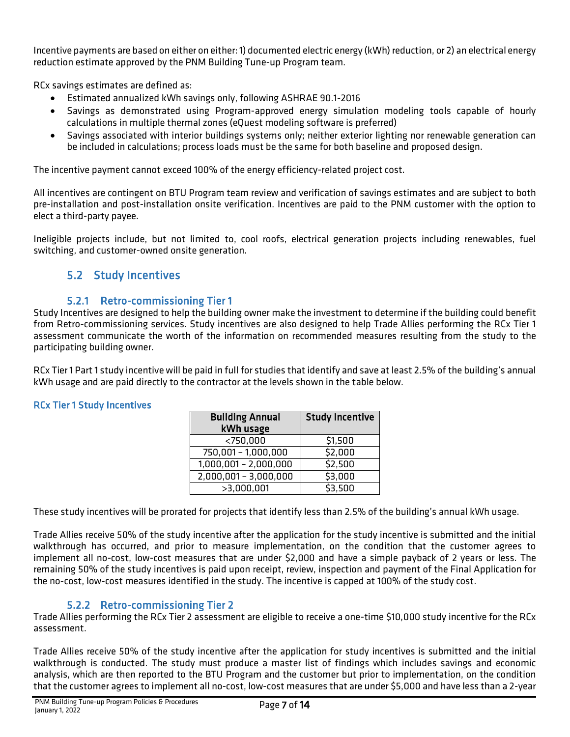Incentive payments are based on either on either: 1) documented electric energy (kWh) reduction, or 2) an electrical energy reduction estimate approved by the PNM Building Tune-up Program team.

RCx savings estimates are defined as:

- Estimated annualized kWh savings only, following ASHRAE 90.1-2016
- Savings as demonstrated using Program-approved energy simulation modeling tools capable of hourly calculations in multiple thermal zones (eQuest modeling software is preferred)
- Savings associated with interior buildings systems only; neither exterior lighting nor renewable generation can be included in calculations; process loads must be the same for both baseline and proposed design.

The incentive payment cannot exceed 100% of the energy efficiency-related project cost.

All incentives are contingent on BTU Program team review and verification of savings estimates and are subject to both pre-installation and post-installation onsite verification. Incentives are paid to the PNM customer with the option to elect a third-party payee.

<span id="page-7-0"></span>Ineligible projects include, but not limited to, cool roofs, electrical generation projects including renewables, fuel switching, and customer-owned onsite generation.

### 5.2 Study Incentives

### 5.2.1 Retro-commissioning Tier 1

<span id="page-7-1"></span>Study Incentives are designed to help the building owner make the investment to determine if the building could benefit from Retro-commissioning services. Study incentives are also designed to help Trade Allies performing the RCx Tier 1 assessment communicate the worth of the information on recommended measures resulting from the study to the participating building owner.

RCx Tier 1 Part 1 study incentivewill be paid in full for studies that identify and save at least 2.5% of the building's annual kWh usage and are paid directly to the contractor at the levels shown in the table below.

### RCx Tier 1 Study Incentives

| <b>Building Annual</b><br>kWh usage | <b>Study Incentive</b> |
|-------------------------------------|------------------------|
| $<$ 750,000                         | \$1,500                |
| 750,001 - 1,000,000                 | \$2,000                |
| $1,000,001 - 2,000,000$             | \$2,500                |
| $2,000,001 - 3,000,000$             | \$3,000                |
| >3,000,001                          | \$3,500                |

These study incentives will be prorated for projects that identify less than 2.5% of the building's annual kWh usage.

Trade Allies receive 50% of the study incentive after the application for the study incentive is submitted and the initial walkthrough has occurred, and prior to measure implementation, on the condition that the customer agrees to implement all no-cost, low-cost measures that are under \$2,000 and have a simple payback of 2 years or less. The remaining 50% of the study incentives is paid upon receipt, review, inspection and payment of the Final Application for the no-cost, low-cost measures identified in the study. The incentive is capped at 100% of the study cost.

### 5.2.2 Retro-commissioning Tier 2

<span id="page-7-2"></span>Trade Allies performing the RCx Tier 2 assessment are eligible to receive a one-time \$10,000 study incentive for the RCx assessment.

Trade Allies receive 50% of the study incentive after the application for study incentives is submitted and the initial walkthrough is conducted. The study must produce a master list of findings which includes savings and economic analysis, which are then reported to the BTU Program and the customer but prior to implementation, on the condition that the customer agrees to implement all no-cost, low-cost measures that are under \$5,000 and have less than a 2-year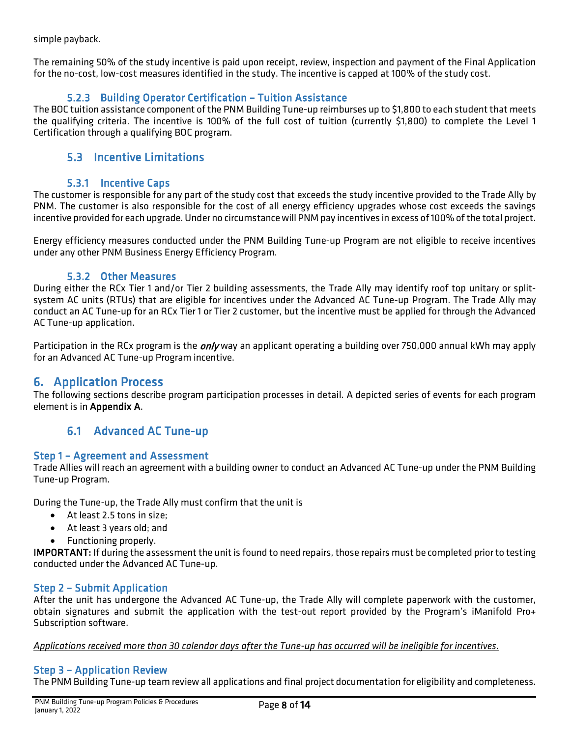simple payback.

The remaining 50% of the study incentive is paid upon receipt, review, inspection and payment of the Final Application for the no-cost, low-cost measures identified in the study. The incentive is capped at 100% of the study cost.

### 5.2.3 Building Operator Certification – Tuition Assistance

<span id="page-8-0"></span>The BOC tuition assistance component of the PNM Building Tune-up reimburses up to \$1,800 to each student that meets the qualifying criteria. The incentive is 100% of the full cost of tuition (currently \$1,800) to complete the Level 1 Certification through a qualifying BOC program.

### <span id="page-8-1"></span>5.3 Incentive Limitations

### 5.3.1 Incentive Caps

<span id="page-8-2"></span>The customer is responsible for any part of the study cost that exceeds the study incentive provided to the Trade Ally by PNM. The customer is also responsible for the cost of all energy efficiency upgrades whose cost exceeds the savings incentive provided for each upgrade. Under no circumstance will PNM pay incentives in excess of 100% of the total project.

Energy efficiency measures conducted under the PNM Building Tune-up Program are not eligible to receive incentives under any other PNM Business Energy Efficiency Program.

### 5.3.2 Other Measures

<span id="page-8-3"></span>During either the RCx Tier 1 and/or Tier 2 building assessments, the Trade Ally may identify roof top unitary or splitsystem AC units (RTUs) that are eligible for incentives under the Advanced AC Tune-up Program. The Trade Ally may conduct an AC Tune-up for an RCx Tier 1 or Tier 2 customer, but the incentive must be applied for through the Advanced AC Tune-up application.

Participation in the RCx program is the *only* way an applicant operating a building over 750,000 annual kWh may apply for an Advanced AC Tune-up Program incentive.

<span id="page-8-4"></span>6. Application Process<br>The following sections describe program participation processes in detail. A depicted series of events for each program element is in Appendix A.

# 6.1 Advanced AC Tune-up

### <span id="page-8-6"></span><span id="page-8-5"></span>Step 1 – Agreement and Assessment

Trade Allies will reach an agreement with a building owner to conduct an Advanced AC Tune-up under the PNM Building Tune-up Program.

During the Tune-up, the Trade Ally must confirm that the unit is

- At least 2.5 tons in size;
- At least 3 years old; and
- Functioning properly.

IMPORTANT: If during the assessment the unit is found to need repairs, those repairs must be completed prior to testing conducted under the Advanced AC Tune-up.

### <span id="page-8-7"></span>Step 2 – Submit Application

After the unit has undergone the Advanced AC Tune-up, the Trade Ally will complete paperwork with the customer, obtain signatures and submit the application with the test-out report provided by the Program's iManifold Pro+ Subscription software.

*Applications received more than 30 calendar days after the Tune-up has occurred will be ineligible for incentives.*

### <span id="page-8-8"></span>Step 3 – Application Review

The PNM Building Tune-up team review all applications and final project documentation for eligibility and completeness.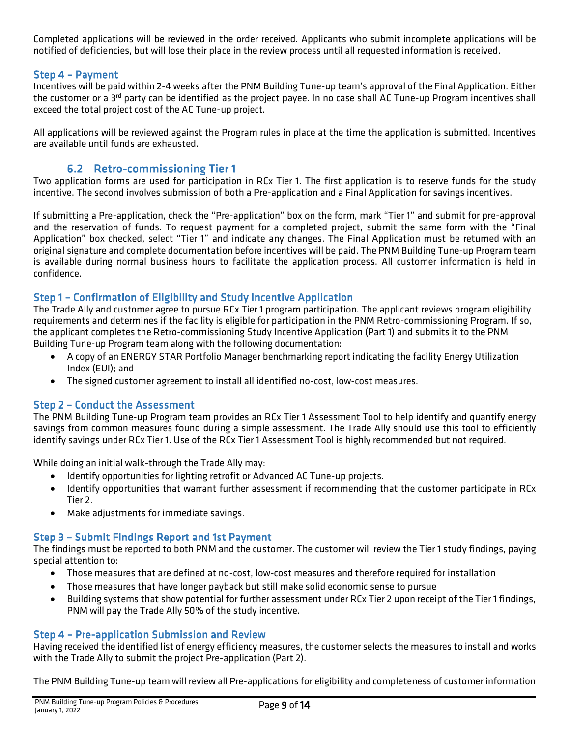Completed applications will be reviewed in the order received. Applicants who submit incomplete applications will be notified of deficiencies, but will lose their place in the review process until all requested information is received.

### <span id="page-9-0"></span>Step 4 – Payment

Incentives will be paid within 2-4 weeks after the PNM Building Tune-up team's approval of the Final Application. Either the customer or a 3<sup>rd</sup> party can be identified as the project payee. In no case shall AC Tune-up Program incentives shall exceed the total project cost of the AC Tune-up project.

All applications will be reviewed against the Program rules in place at the time the application is submitted. Incentives are available until funds are exhausted.

<span id="page-9-1"></span>6.2 Retro-commissioning Tier 1<br>Two application forms are used for participation in RCx Tier 1. The first application is to reserve funds for the study incentive. The second involves submission of both a Pre-application and a Final Application for savings incentives.

If submitting a Pre-application, check the "Pre-application" box on the form, mark "Tier 1" and submit for pre-approval and the reservation of funds. To request payment for a completed project, submit the same form with the "Final Application" box checked, select "Tier 1" and indicate any changes. The Final Application must be returned with an original signature and complete documentation before incentives will be paid. The PNM Building Tune-up Program team is available during normal business hours to facilitate the application process. All customer information is held in confidence.

### <span id="page-9-2"></span>Step 1 – Confirmation of Eligibility and Study Incentive Application

The Trade Ally and customer agree to pursue RCx Tier 1 program participation. The applicant reviews program eligibility requirements and determines if the facility is eligible for participation in the PNM Retro-commissioning Program. If so, the applicant completes the Retro-commissioning Study Incentive Application (Part 1) and submits it to the PNM Building Tune-up Program team along with the following documentation:

- A copy of an ENERGY STAR Portfolio Manager benchmarking report indicating the facility Energy Utilization Index (EUI); and
- The signed customer agreement to install all identified no-cost, low-cost measures.

### <span id="page-9-3"></span>Step 2 – Conduct the Assessment

The PNM Building Tune-up Program team provides an RCx Tier 1 Assessment Tool to help identify and quantify energy savings from common measures found during a simple assessment. The Trade Ally should use this tool to efficiently identify savings under RCx Tier 1. Use of the RCx Tier 1 Assessment Tool is highly recommended but not required.

While doing an initial walk-through the Trade Ally may:

- Identify opportunities for lighting retrofit or Advanced AC Tune-up projects.
- Identify opportunities that warrant further assessment if recommending that the customer participate in RCx Tier 2.
- Make adjustments for immediate savings.

### <span id="page-9-4"></span>Step 3 – Submit Findings Report and 1st Payment

The findings must be reported to both PNM and the customer. The customer will review the Tier 1 study findings, paying special attention to:

- Those measures that are defined at no-cost, low-cost measures and therefore required for installation
- Those measures that have longer payback but still make solid economic sense to pursue
- Building systems that show potential for further assessment under RCx Tier 2 upon receipt of the Tier 1 findings, PNM will pay the Trade Ally 50% of the study incentive.

### <span id="page-9-5"></span>Step 4 – Pre-application Submission and Review

Having received the identified list of energy efficiency measures, the customer selects the measures to install and works with the Trade Ally to submit the project Pre-application (Part 2).

The PNM Building Tune-up team will review all Pre-applications for eligibility and completeness of customer information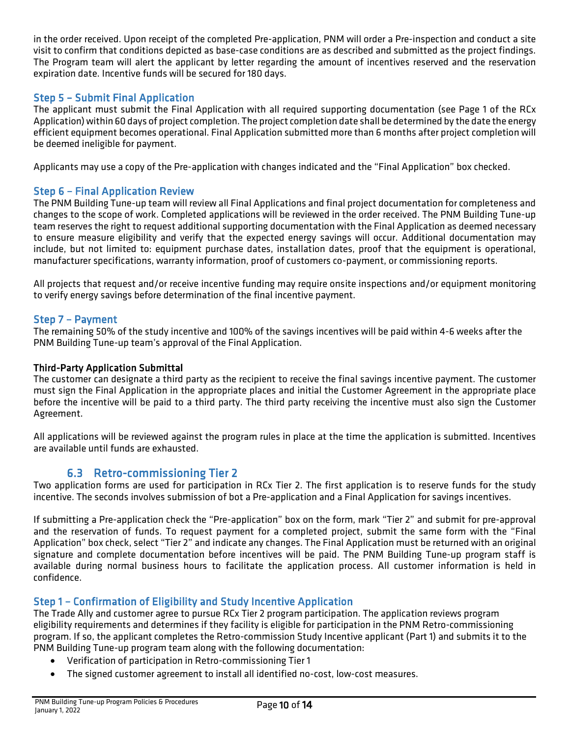in the order received. Upon receipt of the completed Pre-application, PNM will order a Pre-inspection and conduct a site visit to confirm that conditions depicted as base-case conditions are as described and submitted as the project findings. The Program team will alert the applicant by letter regarding the amount of incentives reserved and the reservation expiration date. Incentive funds will be secured for 180 days.

### <span id="page-10-0"></span>Step 5 – Submit Final Application

The applicant must submit the Final Application with all required supporting documentation (see Page 1 of the RCx Application) within 60 days of project completion. The project completion date shall be determined by the date the energy efficient equipment becomes operational. Final Application submitted more than 6 months after project completion will be deemed ineligible for payment.

Applicants may use a copy of the Pre-application with changes indicated and the "Final Application" box checked.

### <span id="page-10-1"></span>Step 6 – Final Application Review

The PNM Building Tune-up team will review all Final Applications and final project documentation for completeness and changes to the scope of work. Completed applications will be reviewed in the order received. The PNM Building Tune-up team reserves the right to request additional supporting documentation with the Final Application as deemed necessary to ensure measure eligibility and verify that the expected energy savings will occur. Additional documentation may include, but not limited to: equipment purchase dates, installation dates, proof that the equipment is operational, manufacturer specifications, warranty information, proof of customers co-payment, or commissioning reports.

All projects that request and/or receive incentive funding may require onsite inspections and/or equipment monitoring to verify energy savings before determination of the final incentive payment.

### <span id="page-10-2"></span>Step 7 – Payment

The remaining 50% of the study incentive and 100% of the savings incentives will be paid within 4-6 weeks after the PNM Building Tune-up team's approval of the Final Application.

### Third-Party Application Submittal

The customer can designate a third party as the recipient to receive the final savings incentive payment. The customer must sign the Final Application in the appropriate places and initial the Customer Agreement in the appropriate place before the incentive will be paid to a third party. The third party receiving the incentive must also sign the Customer Agreement.

All applications will be reviewed against the program rules in place at the time the application is submitted. Incentives are available until funds are exhausted.

<span id="page-10-3"></span>6.3 Retro-commissioning Tier 2<br>Two application forms are used for participation in RCx Tier 2. The first application is to reserve funds for the study incentive. The seconds involves submission of bot a Pre-application and a Final Application for savings incentives.

If submitting a Pre-application check the "Pre-application" box on the form, mark "Tier 2" and submit for pre-approval and the reservation of funds. To request payment for a completed project, submit the same form with the "Final Application" box check, select "Tier 2" and indicate any changes. The Final Application must be returned with an original signature and complete documentation before incentives will be paid. The PNM Building Tune-up program staff is available during normal business hours to facilitate the application process. All customer information is held in confidence.

### <span id="page-10-4"></span>Step 1 – Confirmation of Eligibility and Study Incentive Application

The Trade Ally and customer agree to pursue RCx Tier 2 program participation. The application reviews program eligibility requirements and determines if they facility is eligible for participation in the PNM Retro-commissioning program. If so, the applicant completes the Retro-commission Study Incentive applicant (Part 1) and submits it to the PNM Building Tune-up program team along with the following documentation:

- Verification of participation in Retro-commissioning Tier 1
- The signed customer agreement to install all identified no-cost, low-cost measures.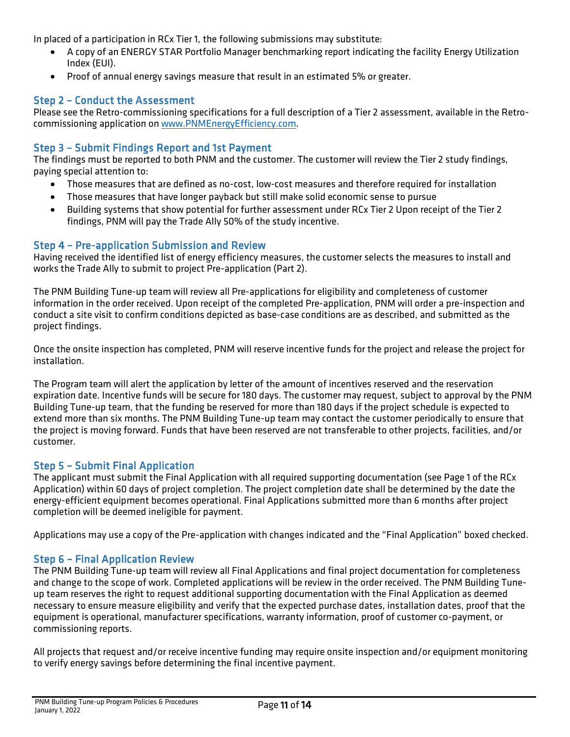In placed of a participation in RCx Tier 1, the following submissions may substitute:

- A copy of an ENERGY STAR Portfolio Manager benchmarking report indicating the facility Energy Utilization Index (EUI).
- Proof of annual energy savings measure that result in an estimated 5% or greater.

### <span id="page-11-0"></span>Step 2 – Conduct the Assessment

Please see the Retro-commissioning specifications for a full description of a Tier 2 assessment, available in the Retrocommissioning application o[n www.PNMEnergyEfficiency.com.](http://www.pnmenergyefficiency.com/)

### <span id="page-11-1"></span>Step 3 – Submit Findings Report and 1st Payment

The findings must be reported to both PNM and the customer. The customer will review the Tier 2 study findings, paying special attention to:

- Those measures that are defined as no-cost, low-cost measures and therefore required for installation
- Those measures that have longer payback but still make solid economic sense to pursue
- Building systems that show potential for further assessment under RCx Tier 2 Upon receipt of the Tier 2 findings, PNM will pay the Trade Ally 50% of the study incentive.

### <span id="page-11-2"></span>Step 4 – Pre-application Submission and Review

Having received the identified list of energy efficiency measures, the customer selects the measures to install and works the Trade Ally to submit to project Pre-application (Part 2).

The PNM Building Tune-up team will review all Pre-applications for eligibility and completeness of customer information in the order received. Upon receipt of the completed Pre-application, PNM will order a pre-inspection and conduct a site visit to confirm conditions depicted as base-case conditions are as described, and submitted as the project findings.

Once the onsite inspection has completed, PNM will reserve incentive funds for the project and release the project for installation.

The Program team will alert the application by letter of the amount of incentives reserved and the reservation expiration date. Incentive funds will be secure for 180 days. The customer may request, subject to approval by the PNM Building Tune-up team, that the funding be reserved for more than 180 days if the project schedule is expected to extend more than six months. The PNM Building Tune-up team may contact the customer periodically to ensure that the project is moving forward. Funds that have been reserved are not transferable to other projects, facilities, and/or customer.

### <span id="page-11-3"></span>Step 5 – Submit Final Application

The applicant must submit the Final Application with all required supporting documentation (see Page 1 of the RCx Application) within 60 days of project completion. The project completion date shall be determined by the date the energy-efficient equipment becomes operational. Final Applications submitted more than 6 months after project completion will be deemed ineligible for payment.

Applications may use a copy of the Pre-application with changes indicated and the "Final Application" boxed checked.

### <span id="page-11-4"></span>Step 6 – Final Application Review

The PNM Building Tune-up team will review all Final Applications and final project documentation for completeness and change to the scope of work. Completed applications will be review in the order received. The PNM Building Tuneup team reserves the right to request additional supporting documentation with the Final Application as deemed necessary to ensure measure eligibility and verify that the expected purchase dates, installation dates, proof that the equipment is operational, manufacturer specifications, warranty information, proof of customer co-payment, or commissioning reports.

All projects that request and/or receive incentive funding may require onsite inspection and/or equipment monitoring to verify energy savings before determining the final incentive payment.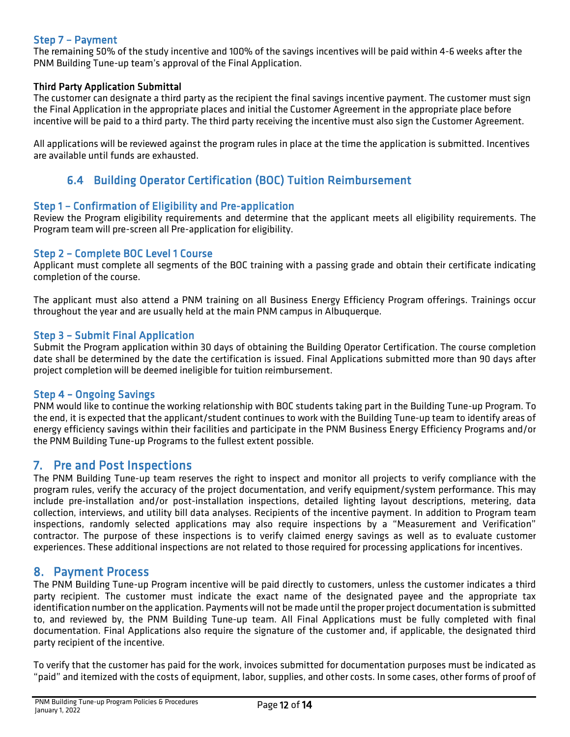### <span id="page-12-0"></span>Step 7 – Payment

The remaining 50% of the study incentive and 100% of the savings incentives will be paid within 4-6 weeks after the PNM Building Tune-up team's approval of the Final Application.

### Third Party Application Submittal

The customer can designate a third party as the recipient the final savings incentive payment. The customer must sign the Final Application in the appropriate places and initial the Customer Agreement in the appropriate place before incentive will be paid to a third party. The third party receiving the incentive must also sign the Customer Agreement.

All applications will be reviewed against the program rules in place at the time the application is submitted. Incentives are available until funds are exhausted.

## 6.4 Building Operator Certification (BOC) Tuition Reimbursement

### <span id="page-12-2"></span><span id="page-12-1"></span>Step 1 – Confirmation of Eligibility and Pre-application

Review the Program eligibility requirements and determine that the applicant meets all eligibility requirements. The Program team will pre-screen all Pre-application for eligibility.

### <span id="page-12-3"></span>Step 2 – Complete BOC Level 1 Course

Applicant must complete all segments of the BOC training with a passing grade and obtain their certificate indicating completion of the course.

The applicant must also attend a PNM training on all Business Energy Efficiency Program offerings. Trainings occur throughout the year and are usually held at the main PNM campus in Albuquerque.

### <span id="page-12-4"></span>Step 3 – Submit Final Application

Submit the Program application within 30 days of obtaining the Building Operator Certification. The course completion date shall be determined by the date the certification is issued. Final Applications submitted more than 90 days after project completion will be deemed ineligible for tuition reimbursement.

### <span id="page-12-5"></span>Step 4 – Ongoing Savings

PNM would like to continue the working relationship with BOC students taking part in the Building Tune-up Program. To the end, it is expected that the applicant/student continues to work with the Building Tune-up team to identify areas of energy efficiency savings within their facilities and participate in the PNM Business Energy Efficiency Programs and/or the PNM Building Tune-up Programs to the fullest extent possible.

<span id="page-12-6"></span>7. Pre and Post Inspections<br>The PNM Building Tune-up team reserves the right to inspect and monitor all projects to verify compliance with the program rules, verify the accuracy of the project documentation, and verify equipment/system performance. This may include pre-installation and/or post-installation inspections, detailed lighting layout descriptions, metering, data collection, interviews, and utility bill data analyses. Recipients of the incentive payment. In addition to Program team inspections, randomly selected applications may also require inspections by a "Measurement and Verification" contractor. The purpose of these inspections is to verify claimed energy savings as well as to evaluate customer experiences. These additional inspections are not related to those required for processing applications for incentives.

<span id="page-12-7"></span>8. Payment Process<br>The PNM Building Tune-up Program incentive will be paid directly to customers, unless the customer indicates a third party recipient. The customer must indicate the exact name of the designated payee and the appropriate tax identification number on the application. Payments will not be made until the proper project documentation is submitted to, and reviewed by, the PNM Building Tune-up team. All Final Applications must be fully completed with final documentation. Final Applications also require the signature of the customer and, if applicable, the designated third party recipient of the incentive.

To verify that the customer has paid for the work, invoices submitted for documentation purposes must be indicated as "paid" and itemized with the costs of equipment, labor, supplies, and other costs. In some cases, other forms of proof of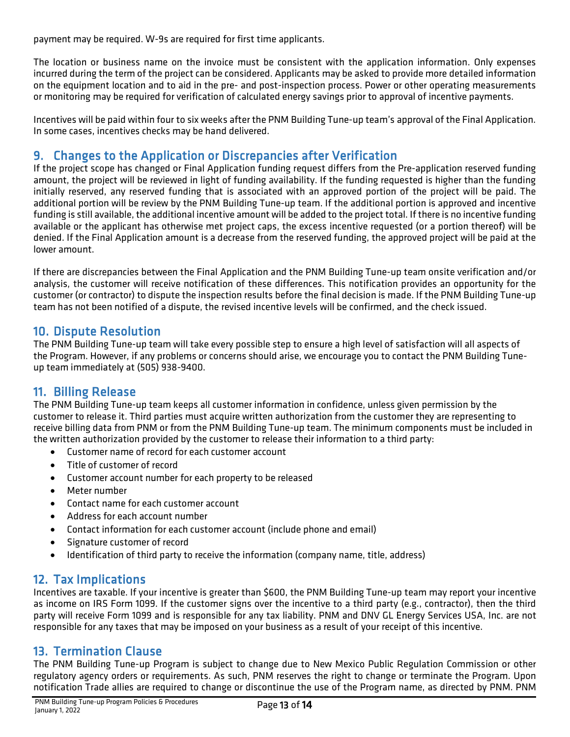payment may be required. W-9s are required for first time applicants.

The location or business name on the invoice must be consistent with the application information. Only expenses incurred during the term of the project can be considered. Applicants may be asked to provide more detailed information on the equipment location and to aid in the pre- and post-inspection process. Power or other operating measurements or monitoring may be required for verification of calculated energy savings prior to approval of incentive payments.

Incentives will be paid within four to six weeks after the PNM Building Tune-up team's approval of the Final Application. In some cases, incentives checks may be hand delivered.

<span id="page-13-0"></span>9. Changes to the Application or Discrepancies after Verification<br>If the project scope has changed or Final Application funding request differs from the Pre-application reserved funding amount, the project will be reviewed in light of funding availability. If the funding requested is higher than the funding initially reserved, any reserved funding that is associated with an approved portion of the project will be paid. The additional portion will be review by the PNM Building Tune-up team. If the additional portion is approved and incentive funding is still available, the additional incentive amount will be added to the project total. If there is no incentive funding available or the applicant has otherwise met project caps, the excess incentive requested (or a portion thereof) will be denied. If the Final Application amount is a decrease from the reserved funding, the approved project will be paid at the lower amount.

If there are discrepancies between the Final Application and the PNM Building Tune-up team onsite verification and/or analysis, the customer will receive notification of these differences. This notification provides an opportunity for the customer (or contractor) to dispute the inspection results before the final decision is made. If the PNM Building Tune-up team has not been notified of a dispute, the revised incentive levels will be confirmed, and the check issued.

<span id="page-13-1"></span>10. Dispute Resolution<br>The PNM Building Tune-up team will take every possible step to ensure a high level of satisfaction will all aspects of the Program. However, if any problems or concerns should arise, we encourage you to contact the PNM Building Tuneup team immediately at (505) 938-9400.

<span id="page-13-2"></span>11. Billing Release<br>The PNM Building Tune-up team keeps all customer information in confidence, unless given permission by the customer to release it. Third parties must acquire written authorization from the customer they are representing to receive billing data from PNM or from the PNM Building Tune-up team. The minimum components must be included in the written authorization provided by the customer to release their information to a third party:

- Customer name of record for each customer account
- Title of customer of record
- Customer account number for each property to be released
- Meter number
- Contact name for each customer account
- Address for each account number
- Contact information for each customer account (include phone and email)
- Signature customer of record
- Identification of third party to receive the information (company name, title, address)

<span id="page-13-3"></span>12. Tax Implications<br>Incentives are taxable. If your incentive is greater than \$600, the PNM Building Tune-up team may report your incentive as income on IRS Form 1099. If the customer signs over the incentive to a third party (e.g., contractor), then the third party will receive Form 1099 and is responsible for any tax liability. PNM and DNV GL Energy Services USA, Inc. are not responsible for any taxes that may be imposed on your business as a result of your receipt of this incentive.

<span id="page-13-4"></span>13. Termination Clause<br>The PNM Building Tune-up Program is subject to change due to New Mexico Public Regulation Commission or other regulatory agency orders or requirements. As such, PNM reserves the right to change or terminate the Program. Upon notification Trade allies are required to change or discontinue the use of the Program name, as directed by PNM. PNM